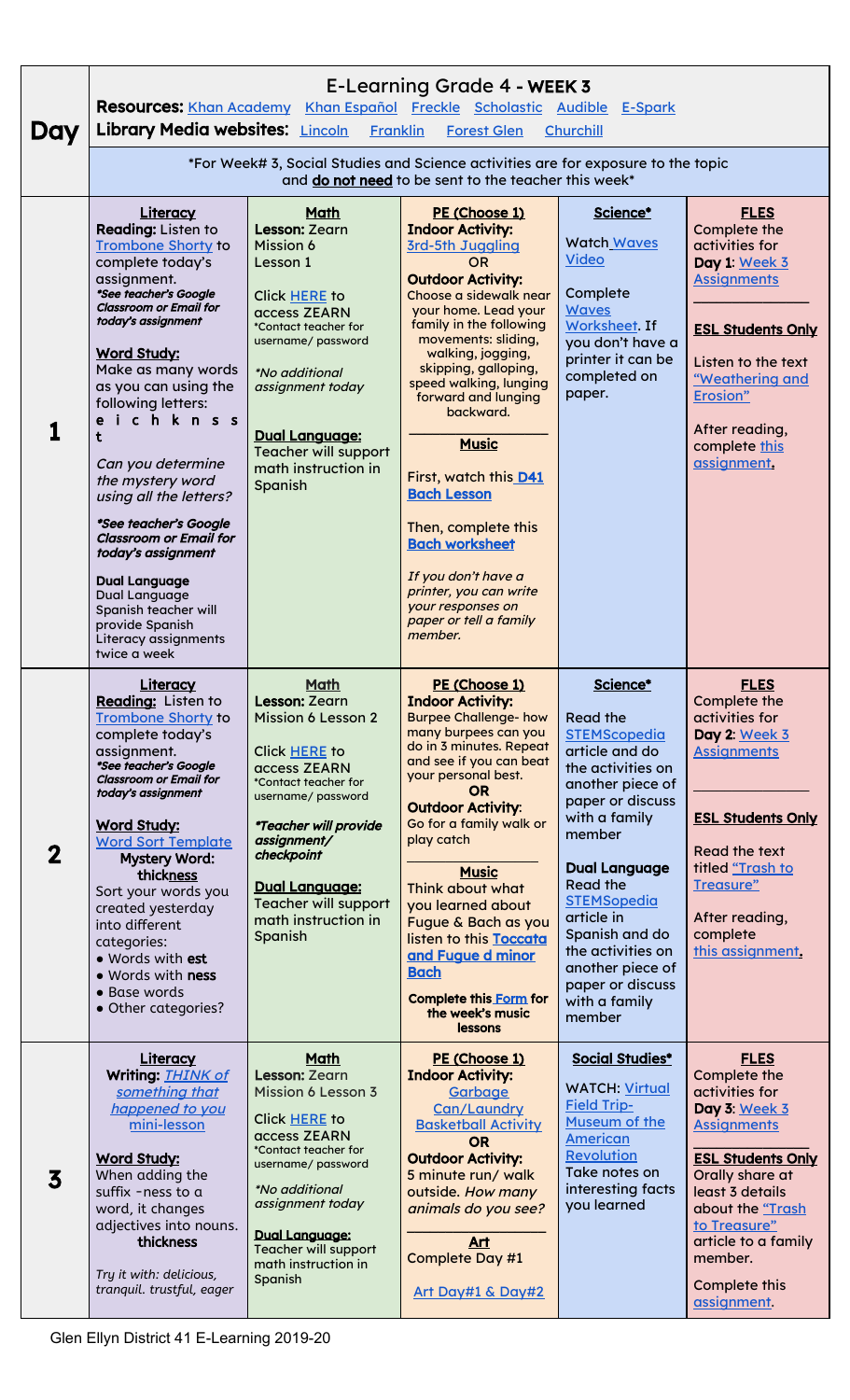|                         | E-Learning Grade 4 - WEEK 3<br><b>Resources:</b> Khan Academy Khan Español Freckle Scholastic Audible E-Spark                                                                                                                                                                                                                                                                                                                                                                                                                                                       |                                                                                                                                                                                                                                                                                   |                                                                                                                                                                                                                                                                                                                                                                                                                                                                                                                                                |                                                                                                                                                                                                                                                                                                                                                       |                                                                                                                                                                                                                                                              |  |  |  |  |
|-------------------------|---------------------------------------------------------------------------------------------------------------------------------------------------------------------------------------------------------------------------------------------------------------------------------------------------------------------------------------------------------------------------------------------------------------------------------------------------------------------------------------------------------------------------------------------------------------------|-----------------------------------------------------------------------------------------------------------------------------------------------------------------------------------------------------------------------------------------------------------------------------------|------------------------------------------------------------------------------------------------------------------------------------------------------------------------------------------------------------------------------------------------------------------------------------------------------------------------------------------------------------------------------------------------------------------------------------------------------------------------------------------------------------------------------------------------|-------------------------------------------------------------------------------------------------------------------------------------------------------------------------------------------------------------------------------------------------------------------------------------------------------------------------------------------------------|--------------------------------------------------------------------------------------------------------------------------------------------------------------------------------------------------------------------------------------------------------------|--|--|--|--|
| Day                     | Library Media websites: Lincoln<br><b>Franklin</b><br><b>Forest Glen</b><br>Churchill<br>*For Week# 3, Social Studies and Science activities are for exposure to the topic                                                                                                                                                                                                                                                                                                                                                                                          |                                                                                                                                                                                                                                                                                   |                                                                                                                                                                                                                                                                                                                                                                                                                                                                                                                                                |                                                                                                                                                                                                                                                                                                                                                       |                                                                                                                                                                                                                                                              |  |  |  |  |
|                         | and do not need to be sent to the teacher this week*                                                                                                                                                                                                                                                                                                                                                                                                                                                                                                                |                                                                                                                                                                                                                                                                                   |                                                                                                                                                                                                                                                                                                                                                                                                                                                                                                                                                |                                                                                                                                                                                                                                                                                                                                                       |                                                                                                                                                                                                                                                              |  |  |  |  |
|                         | Literacy<br>Reading: Listen to<br><b>Trombone Shorty to</b><br>complete today's<br>assignment.<br>*See teacher's Google<br><b>Classroom or Email for</b><br>today's assignment<br><b>Word Study:</b><br>Make as many words<br>as you can using the<br>following letters:<br>eichknss<br>Can you determine<br>the mystery word<br>using all the letters?<br>*See teacher's Google<br><b>Classroom or Email for</b><br>today's assignment<br><b>Dual Language</b><br>Dual Language<br>Spanish teacher will<br>provide Spanish<br>Literacy assignments<br>twice a week | Math<br>Lesson: Zearn<br>Mission 6<br>Lesson 1<br>Click HERE to<br>access ZEARN<br>*Contact teacher for<br>username/ password<br><i>*No additional</i><br>assignment today<br><b>Dual Language:</b><br>Teacher will support<br>math instruction in<br>Spanish                     | PE (Choose 1)<br><b>Indoor Activity:</b><br>3rd-5th Juggling<br><b>OR</b><br><b>Outdoor Activity:</b><br>Choose a sidewalk near<br>your home. Lead your<br>family in the following<br>movements: sliding,<br>walking, jogging,<br>skipping, galloping,<br>speed walking, lunging<br>forward and lunging<br>backward.<br><b>Music</b><br>First, watch this D41<br><b>Bach Lesson</b><br>Then, complete this<br><b>Bach worksheet</b><br>If you don't have a<br>printer, you can write<br>your responses on<br>paper or tell a family<br>member. | Science*<br><b>Watch Waves</b><br><b>Video</b><br>Complete<br><b>Waves</b><br>Worksheet. If<br>you don't have a<br>printer it can be<br>completed on<br>paper.                                                                                                                                                                                        | <b>FLES</b><br>Complete the<br>activities for<br>Day 1: Week 3<br><b>Assignments</b><br><b>ESL Students Only</b><br>Listen to the text<br>"Weathering and<br>Erosion"<br>After reading,<br>complete this<br>assignment.                                      |  |  |  |  |
| $\mathbf 2$             | Literacy<br>Reading: Listen to<br><b>Trombone Shorty to</b><br>complete today's<br>assignment.<br>*See teacher's Google<br><b>Classroom or Email for</b><br>today's assignment<br><b>Word Study:</b><br><b>Word Sort Template</b><br><b>Mystery Word:</b><br>thickness<br>Sort your words you<br>created yesterday<br>into different<br>categories:<br>· Words with est<br>. Words with ness<br>• Base words<br>• Other categories?                                                                                                                                 | <b>Math</b><br>Lesson: Zearn<br><b>Mission 6 Lesson 2</b><br>Click HERE to<br>access ZEARN<br>*Contact teacher for<br>username/ password<br>*Teacher will provide<br>assignment/<br>checkpoint<br><b>Dual Language:</b><br>Teacher will support<br>math instruction in<br>Spanish | PE (Choose 1)<br><b>Indoor Activity:</b><br><b>Burpee Challenge- how</b><br>many burpees can you<br>do in 3 minutes. Repeat<br>and see if you can beat<br>your personal best.<br><b>OR</b><br><b>Outdoor Activity:</b><br>Go for a family walk or<br>play catch<br><b>Music</b><br>Think about what<br>you learned about<br>Fugue & Bach as you<br>listen to this Toccata<br>and Fugue d minor<br><b>Bach</b><br><b>Complete this Form for</b><br>the week's music<br>lessons                                                                  | Science*<br><b>Read the</b><br><b>STEMScopedia</b><br>article and do<br>the activities on<br>another piece of<br>paper or discuss<br>with a family<br>member<br><b>Dual Language</b><br><b>Read the</b><br><b>STEMSopedia</b><br>article in<br>Spanish and do<br>the activities on<br>another piece of<br>paper or discuss<br>with a family<br>member | <b>FLES</b><br>Complete the<br>activities for<br>Day 2: Week 3<br><b>Assignments</b><br><b>ESL Students Only</b><br>Read the text<br>titled "Trash to<br>Treasure"<br>After reading,<br>complete<br>this assignment.                                         |  |  |  |  |
| $\overline{\mathbf{3}}$ | <b>Literacy</b><br>Writing: <b>THINK of</b><br>something that<br>happened to you<br>mini-lesson<br><b>Word Study:</b><br>When adding the<br>suffix -ness to a<br>word, it changes<br>adjectives into nouns.<br>thickness<br>Try it with: delicious,<br>tranquil. trustful, eager                                                                                                                                                                                                                                                                                    | Math<br>Lesson: Zearn<br>Mission 6 Lesson 3<br>Click HERE to<br>access ZEARN<br>*Contact teacher for<br>username/ password<br><i>*No additional</i><br>assignment today<br><b>Dual Language:</b><br>Teacher will support<br>math instruction in<br>Spanish                        | PE (Choose 1)<br><b>Indoor Activity:</b><br>Garbage<br>Can/Laundry<br><b>Basketball Activity</b><br><b>OR</b><br><b>Outdoor Activity:</b><br>5 minute run/ walk<br>outside. How many<br>animals do you see?<br>Art<br>Complete Day #1<br>Art Day#1 & Day#2                                                                                                                                                                                                                                                                                     | <b>Social Studies*</b><br><b>WATCH: Virtual</b><br><b>Field Trip-</b><br>Museum of the<br>American<br><b>Revolution</b><br>Take notes on<br>interesting facts<br>you learned                                                                                                                                                                          | <b>FLES</b><br>Complete the<br>activities for<br>Day 3: Week 3<br><b>Assignments</b><br><b>ESL Students Only</b><br>Orally share at<br>least 3 details<br>about the "Trash<br>to Treasure"<br>article to a family<br>member.<br>Complete this<br>assignment. |  |  |  |  |